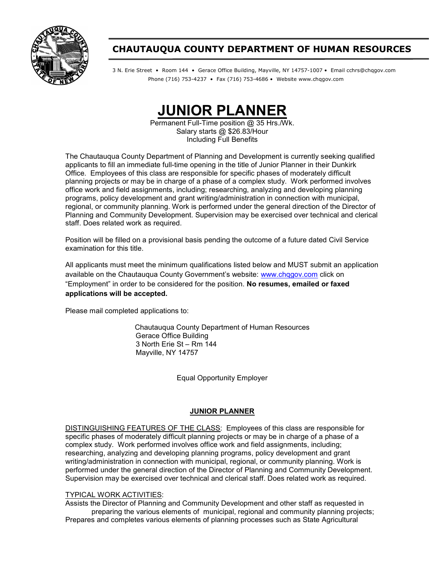

# CHAUTAUQUA COUNTY DEPARTMENT OF HUMAN RESOURCES

3 N. Erie Street • Room 144 • Gerace Office Building, Mayville, NY 14757-1007 • Email cchrs@chqgov.com Phone (716) 753-4237 • Fax (716) 753-4686 • Website www.chqgov.com



Permanent Full-Time position @ 35 Hrs./Wk. Salary starts @ \$26.83/Hour Including Full Benefits

The Chautauqua County Department of Planning and Development is currently seeking qualified applicants to fill an immediate full-time opening in the title of Junior Planner in their Dunkirk Office. Employees of this class are responsible for specific phases of moderately difficult planning projects or may be in charge of a phase of a complex study. Work performed involves office work and field assignments, including; researching, analyzing and developing planning programs, policy development and grant writing/administration in connection with municipal, regional, or community planning. Work is performed under the general direction of the Director of Planning and Community Development. Supervision may be exercised over technical and clerical staff. Does related work as required.

Position will be filled on a provisional basis pending the outcome of a future dated Civil Service examination for this title.

All applicants must meet the minimum qualifications listed below and MUST submit an application available on the Chautauqua County Government's website: www.chqqov.com click on "Employment" in order to be considered for the position. No resumes, emailed or faxed applications will be accepted.

Please mail completed applications to:

Chautauqua County Department of Human Resources Gerace Office Building 3 North Erie St – Rm 144 Mayville, NY 14757

Equal Opportunity Employer

## JUNIOR PLANNER

DISTINGUISHING FEATURES OF THE CLASS: Employees of this class are responsible for specific phases of moderately difficult planning projects or may be in charge of a phase of a complex study. Work performed involves office work and field assignments, including; researching, analyzing and developing planning programs, policy development and grant writing/administration in connection with municipal, regional, or community planning. Work is performed under the general direction of the Director of Planning and Community Development. Supervision may be exercised over technical and clerical staff. Does related work as required.

#### TYPICAL WORK ACTIVITIES:

Assists the Director of Planning and Community Development and other staff as requested in preparing the various elements of municipal, regional and community planning projects; Prepares and completes various elements of planning processes such as State Agricultural